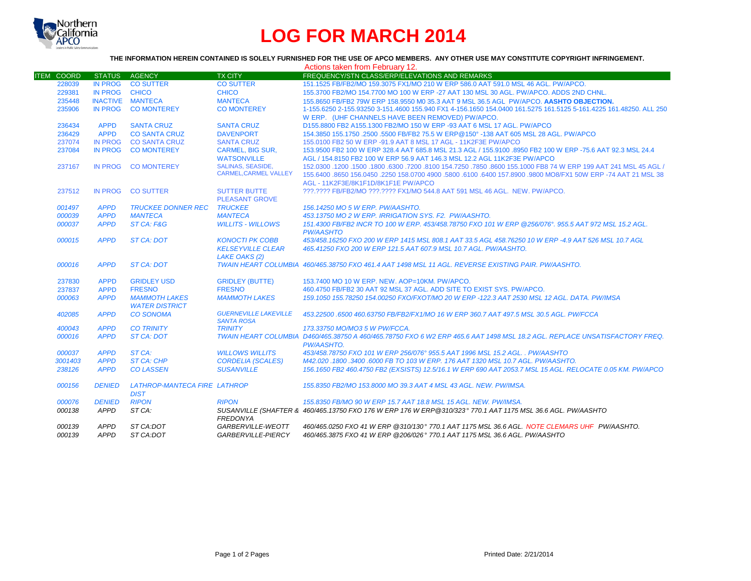

## **LOG FOR MARCH 2014**

## **THE INFORMATION HEREIN CONTAINED IS SOLELY FURNISHED FOR THE USE OF APCO MEMBERS. ANY OTHER USE MAY CONSTITUTE COPYRIGHT INFRINGEMENT.**

|                   |                                                                               |                                                                                                                                  |                                                                                                                                                                                                                                                              | Actions taken from February 12.                                                                                                                                                                        |
|-------------------|-------------------------------------------------------------------------------|----------------------------------------------------------------------------------------------------------------------------------|--------------------------------------------------------------------------------------------------------------------------------------------------------------------------------------------------------------------------------------------------------------|--------------------------------------------------------------------------------------------------------------------------------------------------------------------------------------------------------|
| <b>ITEM COORD</b> | <b>STATUS</b>                                                                 | <b>AGENCY</b>                                                                                                                    | <b>TX CITY</b>                                                                                                                                                                                                                                               | FREQUENCY/STN CLASS/ERP/ELEVATIONS AND REMARKS                                                                                                                                                         |
| 228039            | <b>IN PROG</b>                                                                |                                                                                                                                  | <b>CO SUTTER</b>                                                                                                                                                                                                                                             | 151.1525 FB/FB2/MO 159.3075 FX1/MO 210 W ERP 586.0 AAT 591.0 MSL 46 AGL, PW/APCO,                                                                                                                      |
| 229381            |                                                                               |                                                                                                                                  | <b>CHICO</b>                                                                                                                                                                                                                                                 | 155.3700 FB2/MO 154.7700 MO 100 W ERP -27 AAT 130 MSL 30 AGL, PW/APCO, ADDS 2ND CHNL.                                                                                                                  |
| 235448            |                                                                               |                                                                                                                                  | <b>MANTECA</b>                                                                                                                                                                                                                                               | 155.8650 FB/FB2 79W ERP 158.9550 M0 35.3 AAT 9 MSL 36.5 AGL PW/APCO. AASHTO OBJECTION.                                                                                                                 |
| 235906            | <b>IN PROG</b>                                                                | <b>CO MONTEREY</b>                                                                                                               | <b>CO MONTEREY</b>                                                                                                                                                                                                                                           | 1-155.6250 2-155.93250 3-151.4600 155.940 FX1 4-156.1650 154.0400 161.5275 161.5125 5-161.4225 161.48250. ALL 250                                                                                      |
|                   |                                                                               |                                                                                                                                  |                                                                                                                                                                                                                                                              | W ERP. (UHF CHANNELS HAVE BEEN REMOVED) PW/APCO.                                                                                                                                                       |
| 236434            | <b>APPD</b>                                                                   | <b>SANTA CRUZ</b>                                                                                                                | <b>SANTA CRUZ</b>                                                                                                                                                                                                                                            | D155,8800 FB2 A155,1300 FB2/MO 150 W ERP -93 AAT 6 MSL 17 AGL, PW/APCO                                                                                                                                 |
| 236429            | <b>APPD</b>                                                                   | <b>CO SANTA CRUZ</b>                                                                                                             | <b>DAVENPORT</b>                                                                                                                                                                                                                                             | 154.3850 155.1750 .2500 .5500 FB/FB2 75.5 W ERP@150° -138 AAT 605 MSL 28 AGL. PW/APCO                                                                                                                  |
| 237074            | <b>IN PROG</b>                                                                |                                                                                                                                  | <b>SANTA CRUZ</b>                                                                                                                                                                                                                                            | 155,0100 FB2 50 W ERP -91.9 AAT 8 MSL 17 AGL - 11K2F3E PW/APCO                                                                                                                                         |
| 237084            | <b>IN PROG</b>                                                                | <b>CO MONTEREY</b>                                                                                                               | <b>CARMEL, BIG SUR,</b>                                                                                                                                                                                                                                      | 153.9500 FB2 100 W ERP 328.4 AAT 685.8 MSL 21.3 AGL / 155.9100 .8950 FB2 100 W ERP -75.6 AAT 92.3 MSL 24.4                                                                                             |
|                   |                                                                               |                                                                                                                                  | <b>WATSONVILLE</b>                                                                                                                                                                                                                                           | AGL / 154.8150 FB2 100 W ERP 56.9 AAT 146.3 MSL 12.2 AGL 11K2F3E PW/APCO                                                                                                                               |
| 237167            | IN PROG                                                                       | <b>CO MONTEREY</b>                                                                                                               | <b>SALINAS, SEASIDE,</b>                                                                                                                                                                                                                                     | 152,0300 1200 1500,1800 1800 17200 18100 154.7250 .7850 .8600 155.1000 FB8 74 W ERP 199 AAT 241 MSL 45 AGL /                                                                                           |
|                   |                                                                               |                                                                                                                                  | <b>CARMEL, CARMEL VALLEY</b>                                                                                                                                                                                                                                 | 155.6400 .8650 156.0450 .2250 158.0700 4900 .5800 .6100 .6400 157.8900 .9800 MO8/FX1 50W ERP -74 AAT 21 MSL 38                                                                                         |
|                   |                                                                               |                                                                                                                                  |                                                                                                                                                                                                                                                              | AGL - 11K2F3E/8K1F1D/8K1F1E PW/APCO                                                                                                                                                                    |
| 237512            |                                                                               |                                                                                                                                  | <b>SUTTER BUTTE</b>                                                                                                                                                                                                                                          | ???.???? FB/FB2/MO ???.???? FX1/MO 544.8 AAT 591 MSL 46 AGL. NEW. PW/APCO.                                                                                                                             |
|                   |                                                                               |                                                                                                                                  | <b>PLEASANT GROVE</b>                                                                                                                                                                                                                                        |                                                                                                                                                                                                        |
| 001497            | <b>APPD</b>                                                                   | <b>TRUCKEE DONNER REC</b>                                                                                                        | <b>TRUCKEE</b>                                                                                                                                                                                                                                               | 156.14250 MO 5 W ERP. PW/AASHTO.                                                                                                                                                                       |
| 000039            | <b>APPD</b>                                                                   | <b>MANTECA</b>                                                                                                                   | <b>MANTECA</b>                                                                                                                                                                                                                                               | 453.13750 MO 2 W ERP. IRRIGATION SYS. F2. PW/AASHTO.                                                                                                                                                   |
| 000037            | <b>APPD</b>                                                                   | ST CA: F&G                                                                                                                       | <b>WILLITS - WILLOWS</b>                                                                                                                                                                                                                                     | 151.4300 FB/FB2 INCR TO 100 W ERP. 453/458.78750 FXO 101 W ERP @256/076°. 955.5 AAT 972 MSL 15.2 AGL.                                                                                                  |
|                   |                                                                               |                                                                                                                                  |                                                                                                                                                                                                                                                              | <b>PW/AASHTO</b>                                                                                                                                                                                       |
| 000015            | <b>APPD</b>                                                                   | ST CA: DOT                                                                                                                       | <b>KONOCTI PK COBB</b>                                                                                                                                                                                                                                       | 453/458.16250 FXO 200 W ERP 1415 MSL 808.1 AAT 33.5 AGL 458.76250 10 W ERP -4.9 AAT 526 MSL 10.7 AGL                                                                                                   |
|                   |                                                                               |                                                                                                                                  | <b>KELSEYVILLE CLEAR</b>                                                                                                                                                                                                                                     | 465.41250 FXO 200 W ERP 121.5 AAT 607.9 MSL 10.7 AGL, PW/AASHTO.                                                                                                                                       |
|                   |                                                                               |                                                                                                                                  | <b>LAKE OAKS (2)</b>                                                                                                                                                                                                                                         |                                                                                                                                                                                                        |
| 000016            | <b>APPD</b>                                                                   | ST CA: DOT                                                                                                                       |                                                                                                                                                                                                                                                              | TWAIN HEART COLUMBIA 460/465.38750 FXO 461.4 AAT 1498 MSL 11 AGL. REVERSE EXISTING PAIR, PW/AASHTO,                                                                                                    |
|                   |                                                                               |                                                                                                                                  |                                                                                                                                                                                                                                                              |                                                                                                                                                                                                        |
| 237830            | <b>APPD</b>                                                                   | <b>GRIDLEY USD</b>                                                                                                               | <b>GRIDLEY (BUTTE)</b>                                                                                                                                                                                                                                       | 153.7400 MO 10 W ERP. NEW. AOP=10KM. PW/APCO.                                                                                                                                                          |
| 237837            | <b>APPD</b>                                                                   | <b>FRESNO</b>                                                                                                                    | <b>FRESNO</b>                                                                                                                                                                                                                                                | 460.4750 FB/FB2 30 AAT 92 MSL 37 AGL, ADD SITE TO EXIST SYS, PW/APCO.                                                                                                                                  |
| 000063            | <b>APPD</b>                                                                   | <b>MAMMOTH LAKES</b>                                                                                                             | <b>MAMMOTH LAKES</b>                                                                                                                                                                                                                                         | 159.1050 155.78250 154.00250 FXO/FXOT/MO 20 W ERP -122.3 AAT 2530 MSL 12 AGL, DATA, PW/IMSA                                                                                                            |
|                   |                                                                               | <b>WATER DISTRICT</b>                                                                                                            |                                                                                                                                                                                                                                                              |                                                                                                                                                                                                        |
| 402085            | <b>APPD</b>                                                                   | <b>CO SONOMA</b>                                                                                                                 | <b>GUERNEVILLE LAKEVILLE</b>                                                                                                                                                                                                                                 | 453.22500 .6500 460.63750 FB/FB2/FX1/MO 16 W ERP 360.7 AAT 497.5 MSL 30.5 AGL. PW/FCCA                                                                                                                 |
|                   |                                                                               |                                                                                                                                  |                                                                                                                                                                                                                                                              |                                                                                                                                                                                                        |
|                   |                                                                               |                                                                                                                                  |                                                                                                                                                                                                                                                              | 173.33750 MO/MO3 5 W PW/FCCA.                                                                                                                                                                          |
|                   |                                                                               |                                                                                                                                  |                                                                                                                                                                                                                                                              | TWAIN HEART COLUMBIA D460/465.38750 A 460/465.78750 FXO 6 W2 ERP 465.6 AAT 1498 MSL 18.2 AGL. REPLACE UNSATISFACTORY FREQ.                                                                             |
|                   |                                                                               |                                                                                                                                  |                                                                                                                                                                                                                                                              | PW/AASHTO.                                                                                                                                                                                             |
|                   |                                                                               |                                                                                                                                  |                                                                                                                                                                                                                                                              | 453/458.78750 FXO 101 W ERP 256/076° 955.5 AAT 1996 MSL 15.2 AGL., PW/AASHTO                                                                                                                           |
|                   |                                                                               |                                                                                                                                  |                                                                                                                                                                                                                                                              | M42.020.1800.3400.6000 FB TO 103 W ERP. 176 AAT 1320 MSL 10.7 AGL. PW/AASHTO.                                                                                                                          |
|                   |                                                                               |                                                                                                                                  |                                                                                                                                                                                                                                                              | 156.1650 FB2 460.4750 FB2 (EXSISTS) 12.5/16.1 W ERP 690 AAT 2053.7 MSL 15 AGL. RELOCATE 0.05 KM. PW/APCO                                                                                               |
|                   |                                                                               |                                                                                                                                  |                                                                                                                                                                                                                                                              | 155.8350 FB2/MO 153.8000 MO 39.3 AAT 4 MSL 43 AGL. NEW. PW/IMSA.                                                                                                                                       |
|                   |                                                                               |                                                                                                                                  |                                                                                                                                                                                                                                                              |                                                                                                                                                                                                        |
|                   |                                                                               |                                                                                                                                  |                                                                                                                                                                                                                                                              | 155.8350 FB/MO 90 W ERP 15.7 AAT 18.8 MSL 15 AGL. NEW. PW/IMSA.                                                                                                                                        |
|                   |                                                                               |                                                                                                                                  |                                                                                                                                                                                                                                                              | SUSANVILLE (SHAFTER & 460/465.13750 FXO 176 W ERP 176 W ERP@310/323° 770.1 AAT 1175 MSL 36.6 AGL. PW/AASHTO                                                                                            |
|                   |                                                                               |                                                                                                                                  |                                                                                                                                                                                                                                                              |                                                                                                                                                                                                        |
| 000139            |                                                                               |                                                                                                                                  |                                                                                                                                                                                                                                                              | 460/465.0250 FXO 41 W ERP @310/130° 770.1 AAT 1175 MSL 36.6 AGL, NOTE CLEMARS UHF PW/AASHTO.                                                                                                           |
|                   |                                                                               |                                                                                                                                  |                                                                                                                                                                                                                                                              |                                                                                                                                                                                                        |
|                   | 400043<br>000016<br>000037<br>3001403<br>238126<br>000156<br>000076<br>000138 | <b>APPD</b><br><b>APPD</b><br><b>APPD</b><br><b>APPD</b><br><b>APPD</b><br><b>DENIED</b><br><b>DENIED</b><br>APPD<br><b>APPD</b> | <b>CO SUTTER</b><br>IN PROG CHICO<br><b>INACTIVE MANTECA</b><br><b>CO SANTA CRUZ</b><br>IN PROG CO SUTTER<br><b>CO TRINITY</b><br><b>ST CA: DOT</b><br>ST CA:<br><b>ST CA: CHP</b><br><b>CO LASSEN</b><br><b>DIST</b><br><b>RIPON</b><br>ST CA:<br>ST CA:DOT | <b>SANTA ROSA</b><br><b>TRINITY</b><br><b>WILLOWS WILLITS</b><br><b>CORDELIA (SCALES)</b><br><b>SUSANVILLE</b><br>LATHROP-MANTECA FIRE LATHROP<br><b>RIPON</b><br><b>FREDONYA</b><br>GARBERVILLE-WEOTT |